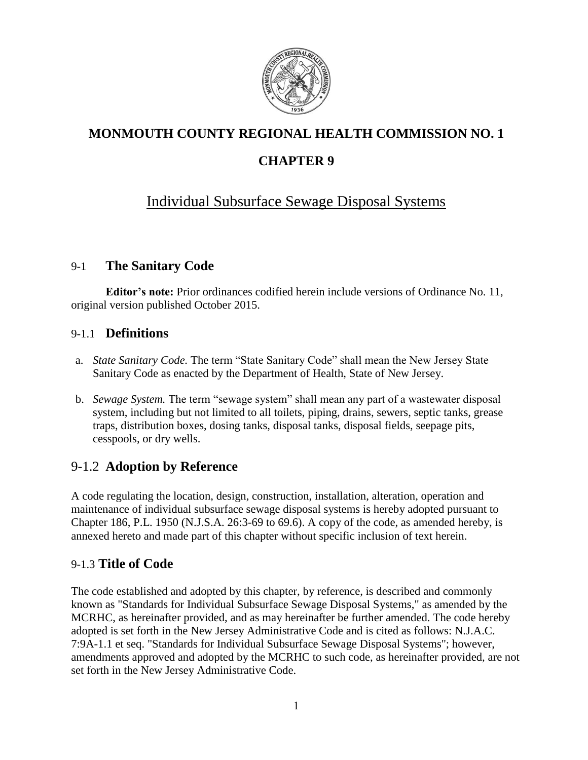

# **MONMOUTH COUNTY REGIONAL HEALTH COMMISSION NO. 1**

# **CHAPTER 9**

# Individual Subsurface Sewage Disposal Systems

# 9-1 **The Sanitary Code**

**Editor's note:** Prior ordinances codified herein include versions of Ordinance No. 11, original version published October 2015.

### 9-1.1 **Definitions**

- a. *State Sanitary Code.* The term "State Sanitary Code" shall mean the New Jersey State Sanitary Code as enacted by the Department of Health, State of New Jersey.
- b. *Sewage System.* The term "sewage system" shall mean any part of a wastewater disposal system, including but not limited to all toilets, piping, drains, sewers, septic tanks, grease traps, distribution boxes, dosing tanks, disposal tanks, disposal fields, seepage pits, cesspools, or dry wells.

# 9-1.2 **Adoption by Reference**

A code regulating the location, design, construction, installation, alteration, operation and maintenance of individual subsurface sewage disposal systems is hereby adopted pursuant to Chapter 186, P.L. 1950 (N.J.S.A. 26:3-69 to 69.6). A copy of the code, as amended hereby, is annexed hereto and made part of this chapter without specific inclusion of text herein.

# 9-1.3 **Title of Code**

The code established and adopted by this chapter, by reference, is described and commonly known as "Standards for Individual Subsurface Sewage Disposal Systems," as amended by the MCRHC, as hereinafter provided, and as may hereinafter be further amended. The code hereby adopted is set forth in the New Jersey Administrative Code and is cited as follows: N.J.A.C. 7:9A-1.1 et seq. "Standards for Individual Subsurface Sewage Disposal Systems"; however, amendments approved and adopted by the MCRHC to such code, as hereinafter provided, are not set forth in the New Jersey Administrative Code.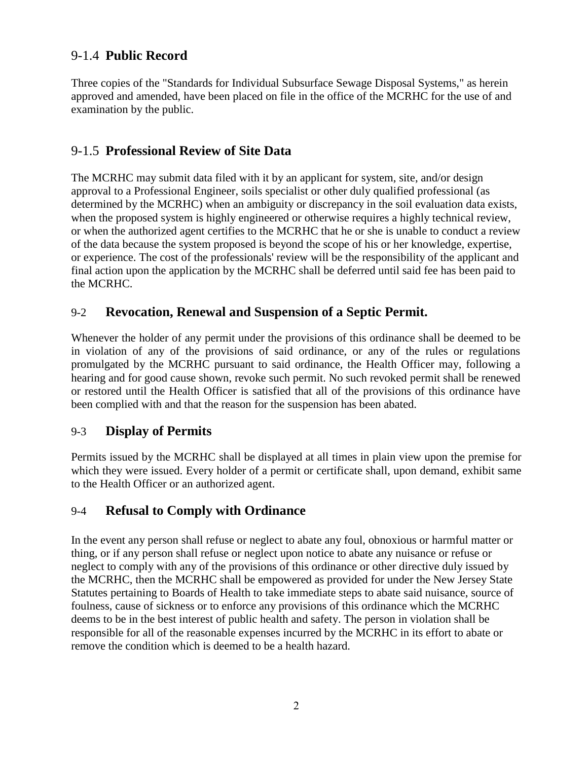# 9-1.4 **Public Record**

Three copies of the "Standards for Individual Subsurface Sewage Disposal Systems," as herein approved and amended, have been placed on file in the office of the MCRHC for the use of and examination by the public.

### 9-1.5 **Professional Review of Site Data**

The MCRHC may submit data filed with it by an applicant for system, site, and/or design approval to a Professional Engineer, soils specialist or other duly qualified professional (as determined by the MCRHC) when an ambiguity or discrepancy in the soil evaluation data exists, when the proposed system is highly engineered or otherwise requires a highly technical review, or when the authorized agent certifies to the MCRHC that he or she is unable to conduct a review of the data because the system proposed is beyond the scope of his or her knowledge, expertise, or experience. The cost of the professionals' review will be the responsibility of the applicant and final action upon the application by the MCRHC shall be deferred until said fee has been paid to the MCRHC.

### 9-2 **Revocation, Renewal and Suspension of a Septic Permit.**

Whenever the holder of any permit under the provisions of this ordinance shall be deemed to be in violation of any of the provisions of said ordinance, or any of the rules or regulations promulgated by the MCRHC pursuant to said ordinance, the Health Officer may, following a hearing and for good cause shown, revoke such permit. No such revoked permit shall be renewed or restored until the Health Officer is satisfied that all of the provisions of this ordinance have been complied with and that the reason for the suspension has been abated.

### 9-3 **Display of Permits**

Permits issued by the MCRHC shall be displayed at all times in plain view upon the premise for which they were issued. Every holder of a permit or certificate shall, upon demand, exhibit same to the Health Officer or an authorized agent.

### 9-4 **Refusal to Comply with Ordinance**

In the event any person shall refuse or neglect to abate any foul, obnoxious or harmful matter or thing, or if any person shall refuse or neglect upon notice to abate any nuisance or refuse or neglect to comply with any of the provisions of this ordinance or other directive duly issued by the MCRHC, then the MCRHC shall be empowered as provided for under the New Jersey State Statutes pertaining to Boards of Health to take immediate steps to abate said nuisance, source of foulness, cause of sickness or to enforce any provisions of this ordinance which the MCRHC deems to be in the best interest of public health and safety. The person in violation shall be responsible for all of the reasonable expenses incurred by the MCRHC in its effort to abate or remove the condition which is deemed to be a health hazard.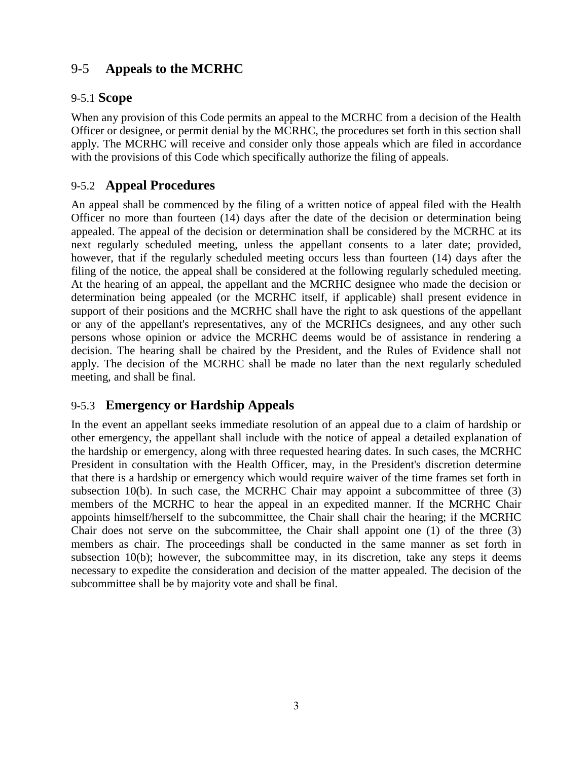# 9-5 **Appeals to the MCRHC**

#### 9-5.1 **Scope**

When any provision of this Code permits an appeal to the MCRHC from a decision of the Health Officer or designee, or permit denial by the MCRHC, the procedures set forth in this section shall apply. The MCRHC will receive and consider only those appeals which are filed in accordance with the provisions of this Code which specifically authorize the filing of appeals.

### 9-5.2 **Appeal Procedures**

An appeal shall be commenced by the filing of a written notice of appeal filed with the Health Officer no more than fourteen (14) days after the date of the decision or determination being appealed. The appeal of the decision or determination shall be considered by the MCRHC at its next regularly scheduled meeting, unless the appellant consents to a later date; provided, however, that if the regularly scheduled meeting occurs less than fourteen (14) days after the filing of the notice, the appeal shall be considered at the following regularly scheduled meeting. At the hearing of an appeal, the appellant and the MCRHC designee who made the decision or determination being appealed (or the MCRHC itself, if applicable) shall present evidence in support of their positions and the MCRHC shall have the right to ask questions of the appellant or any of the appellant's representatives, any of the MCRHCs designees, and any other such persons whose opinion or advice the MCRHC deems would be of assistance in rendering a decision. The hearing shall be chaired by the President, and the Rules of Evidence shall not apply. The decision of the MCRHC shall be made no later than the next regularly scheduled meeting, and shall be final.

# 9-5.3 **Emergency or Hardship Appeals**

In the event an appellant seeks immediate resolution of an appeal due to a claim of hardship or other emergency, the appellant shall include with the notice of appeal a detailed explanation of the hardship or emergency, along with three requested hearing dates. In such cases, the MCRHC President in consultation with the Health Officer, may, in the President's discretion determine that there is a hardship or emergency which would require waiver of the time frames set forth in subsection 10(b). In such case, the MCRHC Chair may appoint a subcommittee of three (3) members of the MCRHC to hear the appeal in an expedited manner. If the MCRHC Chair appoints himself/herself to the subcommittee, the Chair shall chair the hearing; if the MCRHC Chair does not serve on the subcommittee, the Chair shall appoint one (1) of the three (3) members as chair. The proceedings shall be conducted in the same manner as set forth in subsection 10(b); however, the subcommittee may, in its discretion, take any steps it deems necessary to expedite the consideration and decision of the matter appealed. The decision of the subcommittee shall be by majority vote and shall be final.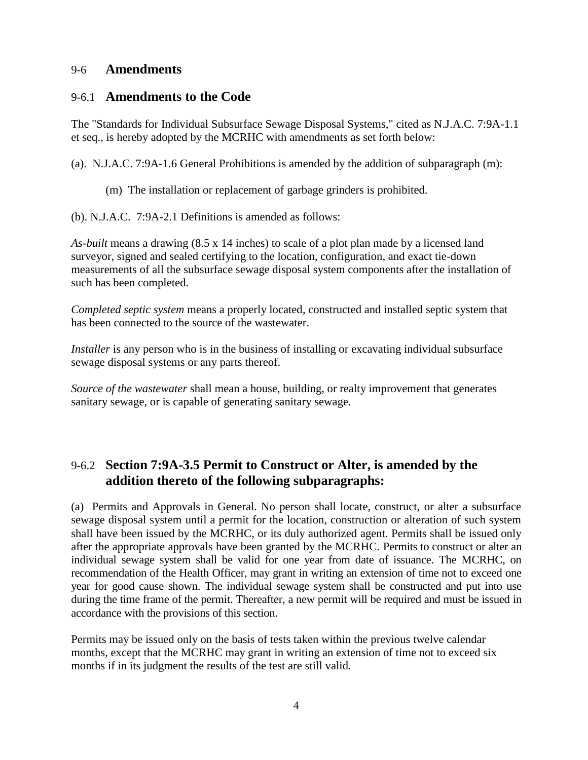#### 9-6 **Amendments**

#### 9-6.1 **Amendments to the Code**

The "Standards for Individual Subsurface Sewage Disposal Systems," cited as N.J.A.C. 7:9A-1.1 et seq., is hereby adopted by the MCRHC with amendments as set forth below:

(a). N.J.A.C. 7:9A-1.6 General Prohibitions is amended by the addition of subparagraph (m):

- (m) The installation or replacement of garbage grinders is prohibited.
- (b). N.J.A.C. 7:9A-2.1 Definitions is amended as follows:

*As-built* means a drawing (8.5 x 14 inches) to scale of a plot plan made by a licensed land surveyor, signed and sealed certifying to the location, configuration, and exact tie-down measurements of all the subsurface sewage disposal system components after the installation of such has been completed.

*Completed septic system* means a properly located, constructed and installed septic system that has been connected to the source of the wastewater.

*Installer* is any person who is in the business of installing or excavating individual subsurface sewage disposal systems or any parts thereof.

*Source of the wastewater* shall mean a house, building, or realty improvement that generates sanitary sewage, or is capable of generating sanitary sewage.

# 9-6.2 **Section 7:9A-3.5 Permit to Construct or Alter, is amended by the addition thereto of the following subparagraphs:**

(a) Permits and Approvals in General. No person shall locate, construct, or alter a subsurface sewage disposal system until a permit for the location, construction or alteration of such system shall have been issued by the MCRHC, or its duly authorized agent. Permits shall be issued only after the appropriate approvals have been granted by the MCRHC. Permits to construct or alter an individual sewage system shall be valid for one year from date of issuance. The MCRHC, on recommendation of the Health Officer, may grant in writing an extension of time not to exceed one year for good cause shown. The individual sewage system shall be constructed and put into use during the time frame of the permit. Thereafter, a new permit will be required and must be issued in accordance with the provisions of this section.

Permits may be issued only on the basis of tests taken within the previous twelve calendar months, except that the MCRHC may grant in writing an extension of time not to exceed six months if in its judgment the results of the test are still valid.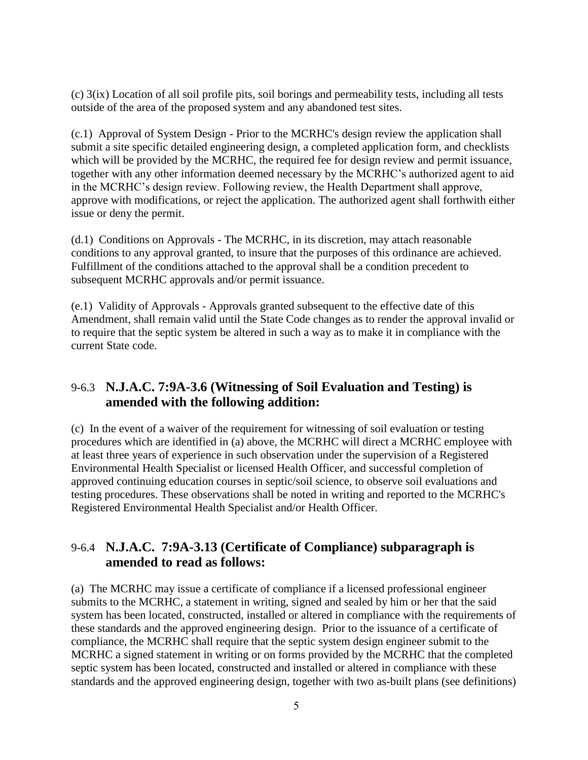(c) 3(ix) Location of all soil profile pits, soil borings and permeability tests, including all tests outside of the area of the proposed system and any abandoned test sites.

(c.1) Approval of System Design - Prior to the MCRHC's design review the application shall submit a site specific detailed engineering design, a completed application form, and checklists which will be provided by the MCRHC, the required fee for design review and permit issuance, together with any other information deemed necessary by the MCRHC's authorized agent to aid in the MCRHC's design review. Following review, the Health Department shall approve, approve with modifications, or reject the application. The authorized agent shall forthwith either issue or deny the permit.

(d.1) Conditions on Approvals - The MCRHC, in its discretion, may attach reasonable conditions to any approval granted, to insure that the purposes of this ordinance are achieved. Fulfillment of the conditions attached to the approval shall be a condition precedent to subsequent MCRHC approvals and/or permit issuance.

(e.1) Validity of Approvals - Approvals granted subsequent to the effective date of this Amendment, shall remain valid until the State Code changes as to render the approval invalid or to require that the septic system be altered in such a way as to make it in compliance with the current State code.

# 9-6.3 **N.J.A.C. 7:9A-3.6 (Witnessing of Soil Evaluation and Testing) is amended with the following addition:**

(c) In the event of a waiver of the requirement for witnessing of soil evaluation or testing procedures which are identified in (a) above, the MCRHC will direct a MCRHC employee with at least three years of experience in such observation under the supervision of a Registered Environmental Health Specialist or licensed Health Officer, and successful completion of approved continuing education courses in septic/soil science, to observe soil evaluations and testing procedures. These observations shall be noted in writing and reported to the MCRHC's Registered Environmental Health Specialist and/or Health Officer.

# 9-6.4 **N.J.A.C. 7:9A-3.13 (Certificate of Compliance) subparagraph is amended to read as follows:**

(a) The MCRHC may issue a certificate of compliance if a licensed professional engineer submits to the MCRHC, a statement in writing, signed and sealed by him or her that the said system has been located, constructed, installed or altered in compliance with the requirements of these standards and the approved engineering design. Prior to the issuance of a certificate of compliance, the MCRHC shall require that the septic system design engineer submit to the MCRHC a signed statement in writing or on forms provided by the MCRHC that the completed septic system has been located, constructed and installed or altered in compliance with these standards and the approved engineering design, together with two as-built plans (see definitions)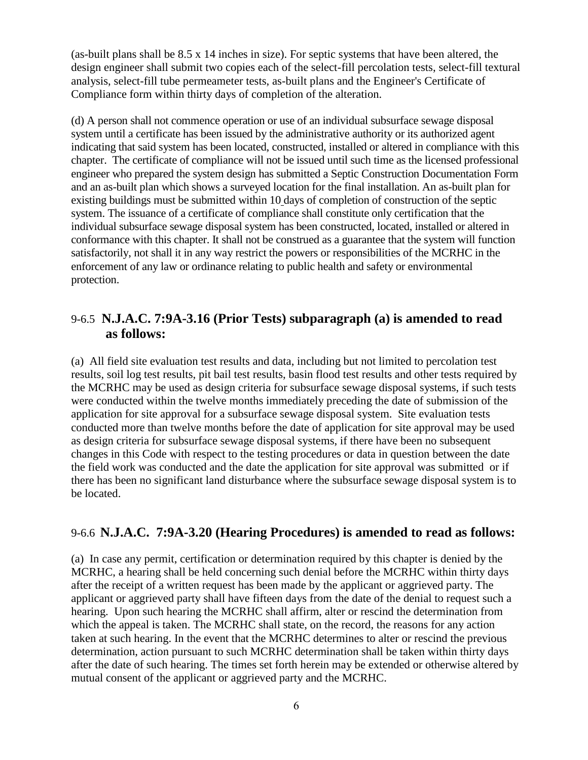(as-built plans shall be 8.5 x 14 inches in size). For septic systems that have been altered, the design engineer shall submit two copies each of the select-fill percolation tests, select-fill textural analysis, select-fill tube permeameter tests, as-built plans and the Engineer's Certificate of Compliance form within thirty days of completion of the alteration.

(d) A person shall not commence operation or use of an individual subsurface sewage disposal system until a certificate has been issued by the administrative authority or its authorized agent indicating that said system has been located, constructed, installed or altered in compliance with this chapter. The certificate of compliance will not be issued until such time as the licensed professional engineer who prepared the system design has submitted a Septic Construction Documentation Form and an as-built plan which shows a surveyed location for the final installation. An as-built plan for existing buildings must be submitted within 10 days of completion of construction of the septic system. The issuance of a certificate of compliance shall constitute only certification that the individual subsurface sewage disposal system has been constructed, located, installed or altered in conformance with this chapter. It shall not be construed as a guarantee that the system will function satisfactorily, not shall it in any way restrict the powers or responsibilities of the MCRHC in the enforcement of any law or ordinance relating to public health and safety or environmental protection.

### 9-6.5 **N.J.A.C. 7:9A-3.16 (Prior Tests) subparagraph (a) is amended to read as follows:**

(a) All field site evaluation test results and data, including but not limited to percolation test results, soil log test results, pit bail test results, basin flood test results and other tests required by the MCRHC may be used as design criteria for subsurface sewage disposal systems, if such tests were conducted within the twelve months immediately preceding the date of submission of the application for site approval for a subsurface sewage disposal system. Site evaluation tests conducted more than twelve months before the date of application for site approval may be used as design criteria for subsurface sewage disposal systems, if there have been no subsequent changes in this Code with respect to the testing procedures or data in question between the date the field work was conducted and the date the application for site approval was submitted or if there has been no significant land disturbance where the subsurface sewage disposal system is to be located.

# 9-6.6 **N.J.A.C. 7:9A-3.20 (Hearing Procedures) is amended to read as follows:**

(a) In case any permit, certification or determination required by this chapter is denied by the MCRHC, a hearing shall be held concerning such denial before the MCRHC within thirty days after the receipt of a written request has been made by the applicant or aggrieved party. The applicant or aggrieved party shall have fifteen days from the date of the denial to request such a hearing. Upon such hearing the MCRHC shall affirm, alter or rescind the determination from which the appeal is taken. The MCRHC shall state, on the record, the reasons for any action taken at such hearing. In the event that the MCRHC determines to alter or rescind the previous determination, action pursuant to such MCRHC determination shall be taken within thirty days after the date of such hearing. The times set forth herein may be extended or otherwise altered by mutual consent of the applicant or aggrieved party and the MCRHC.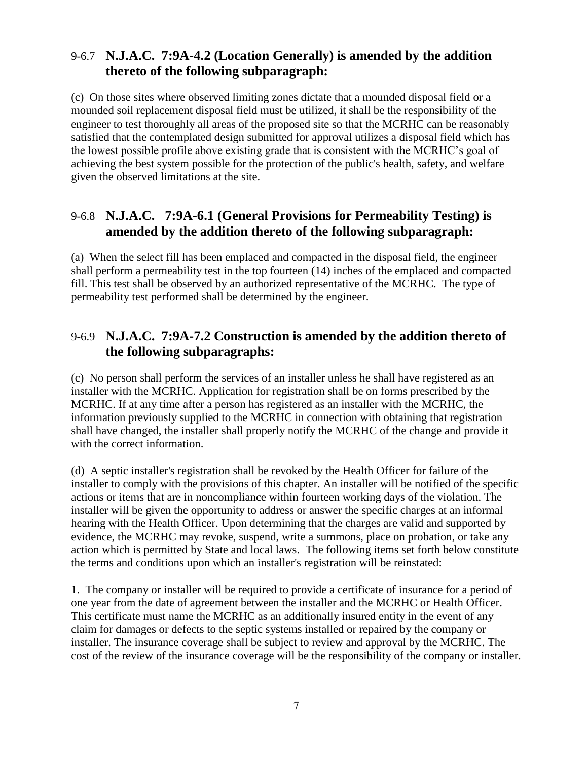### 9-6.7 **N.J.A.C. 7:9A-4.2 (Location Generally) is amended by the addition thereto of the following subparagraph:**

(c) On those sites where observed limiting zones dictate that a mounded disposal field or a mounded soil replacement disposal field must be utilized, it shall be the responsibility of the engineer to test thoroughly all areas of the proposed site so that the MCRHC can be reasonably satisfied that the contemplated design submitted for approval utilizes a disposal field which has the lowest possible profile above existing grade that is consistent with the MCRHC's goal of achieving the best system possible for the protection of the public's health, safety, and welfare given the observed limitations at the site.

# 9-6.8 **N.J.A.C. 7:9A-6.1 (General Provisions for Permeability Testing) is amended by the addition thereto of the following subparagraph:**

(a) When the select fill has been emplaced and compacted in the disposal field, the engineer shall perform a permeability test in the top fourteen (14) inches of the emplaced and compacted fill. This test shall be observed by an authorized representative of the MCRHC. The type of permeability test performed shall be determined by the engineer.

# 9-6.9 **N.J.A.C. 7:9A-7.2 Construction is amended by the addition thereto of the following subparagraphs:**

(c) No person shall perform the services of an installer unless he shall have registered as an installer with the MCRHC. Application for registration shall be on forms prescribed by the MCRHC. If at any time after a person has registered as an installer with the MCRHC, the information previously supplied to the MCRHC in connection with obtaining that registration shall have changed, the installer shall properly notify the MCRHC of the change and provide it with the correct information.

(d) A septic installer's registration shall be revoked by the Health Officer for failure of the installer to comply with the provisions of this chapter. An installer will be notified of the specific actions or items that are in noncompliance within fourteen working days of the violation. The installer will be given the opportunity to address or answer the specific charges at an informal hearing with the Health Officer. Upon determining that the charges are valid and supported by evidence, the MCRHC may revoke, suspend, write a summons, place on probation, or take any action which is permitted by State and local laws. The following items set forth below constitute the terms and conditions upon which an installer's registration will be reinstated:

1. The company or installer will be required to provide a certificate of insurance for a period of one year from the date of agreement between the installer and the MCRHC or Health Officer. This certificate must name the MCRHC as an additionally insured entity in the event of any claim for damages or defects to the septic systems installed or repaired by the company or installer. The insurance coverage shall be subject to review and approval by the MCRHC. The cost of the review of the insurance coverage will be the responsibility of the company or installer.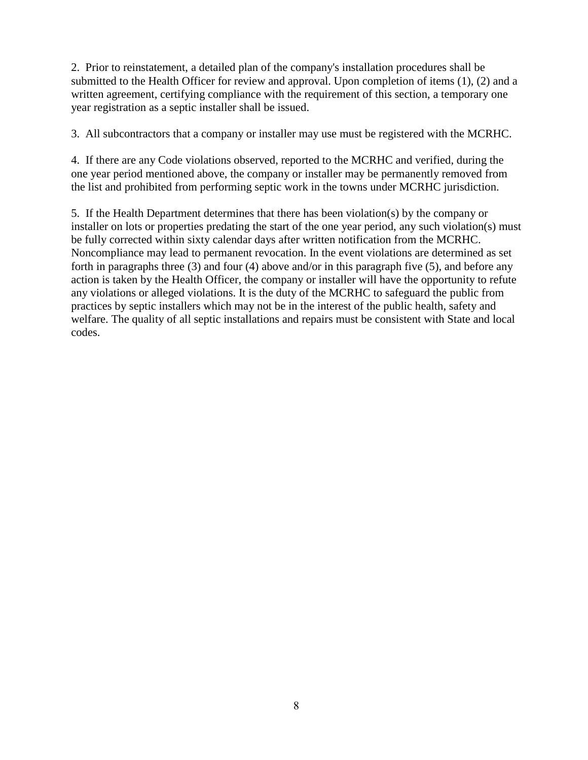2. Prior to reinstatement, a detailed plan of the company's installation procedures shall be submitted to the Health Officer for review and approval. Upon completion of items (1), (2) and a written agreement, certifying compliance with the requirement of this section, a temporary one year registration as a septic installer shall be issued.

3. All subcontractors that a company or installer may use must be registered with the MCRHC.

4. If there are any Code violations observed, reported to the MCRHC and verified, during the one year period mentioned above, the company or installer may be permanently removed from the list and prohibited from performing septic work in the towns under MCRHC jurisdiction.

5. If the Health Department determines that there has been violation(s) by the company or installer on lots or properties predating the start of the one year period, any such violation(s) must be fully corrected within sixty calendar days after written notification from the MCRHC. Noncompliance may lead to permanent revocation. In the event violations are determined as set forth in paragraphs three (3) and four (4) above and/or in this paragraph five (5), and before any action is taken by the Health Officer, the company or installer will have the opportunity to refute any violations or alleged violations. It is the duty of the MCRHC to safeguard the public from practices by septic installers which may not be in the interest of the public health, safety and welfare. The quality of all septic installations and repairs must be consistent with State and local codes.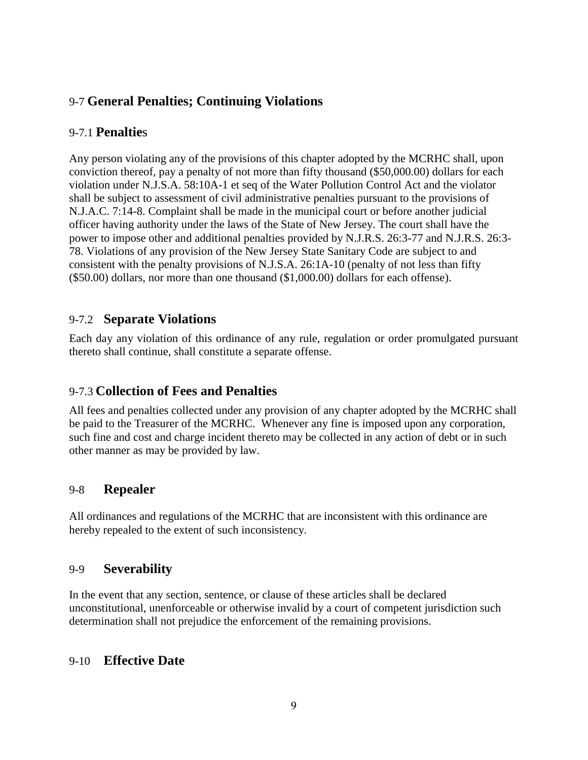# 9-7 **General Penalties; Continuing Violations**

### 9-7.1 **Penaltie**s

Any person violating any of the provisions of this chapter adopted by the MCRHC shall, upon conviction thereof, pay a penalty of not more than fifty thousand (\$50,000.00) dollars for each violation under N.J.S.A. 58:10A-1 et seq of the Water Pollution Control Act and the violator shall be subject to assessment of civil administrative penalties pursuant to the provisions of N.J.A.C. 7:14-8. Complaint shall be made in the municipal court or before another judicial officer having authority under the laws of the State of New Jersey. The court shall have the power to impose other and additional penalties provided by N.J.R.S. 26:3-77 and N.J.R.S. 26:3- 78. Violations of any provision of the New Jersey State Sanitary Code are subject to and consistent with the penalty provisions of N.J.S.A. 26:1A-10 (penalty of not less than fifty (\$50.00) dollars, nor more than one thousand (\$1,000.00) dollars for each offense).

### 9-7.2 **Separate Violations**

Each day any violation of this ordinance of any rule, regulation or order promulgated pursuant thereto shall continue, shall constitute a separate offense.

# 9-7.3 **Collection of Fees and Penalties**

All fees and penalties collected under any provision of any chapter adopted by the MCRHC shall be paid to the Treasurer of the MCRHC. Whenever any fine is imposed upon any corporation, such fine and cost and charge incident thereto may be collected in any action of debt or in such other manner as may be provided by law.

### 9-8 **Repealer**

All ordinances and regulations of the MCRHC that are inconsistent with this ordinance are hereby repealed to the extent of such inconsistency.

### 9-9 **Severability**

In the event that any section, sentence, or clause of these articles shall be declared unconstitutional, unenforceable or otherwise invalid by a court of competent jurisdiction such determination shall not prejudice the enforcement of the remaining provisions.

### 9-10 **Effective Date**